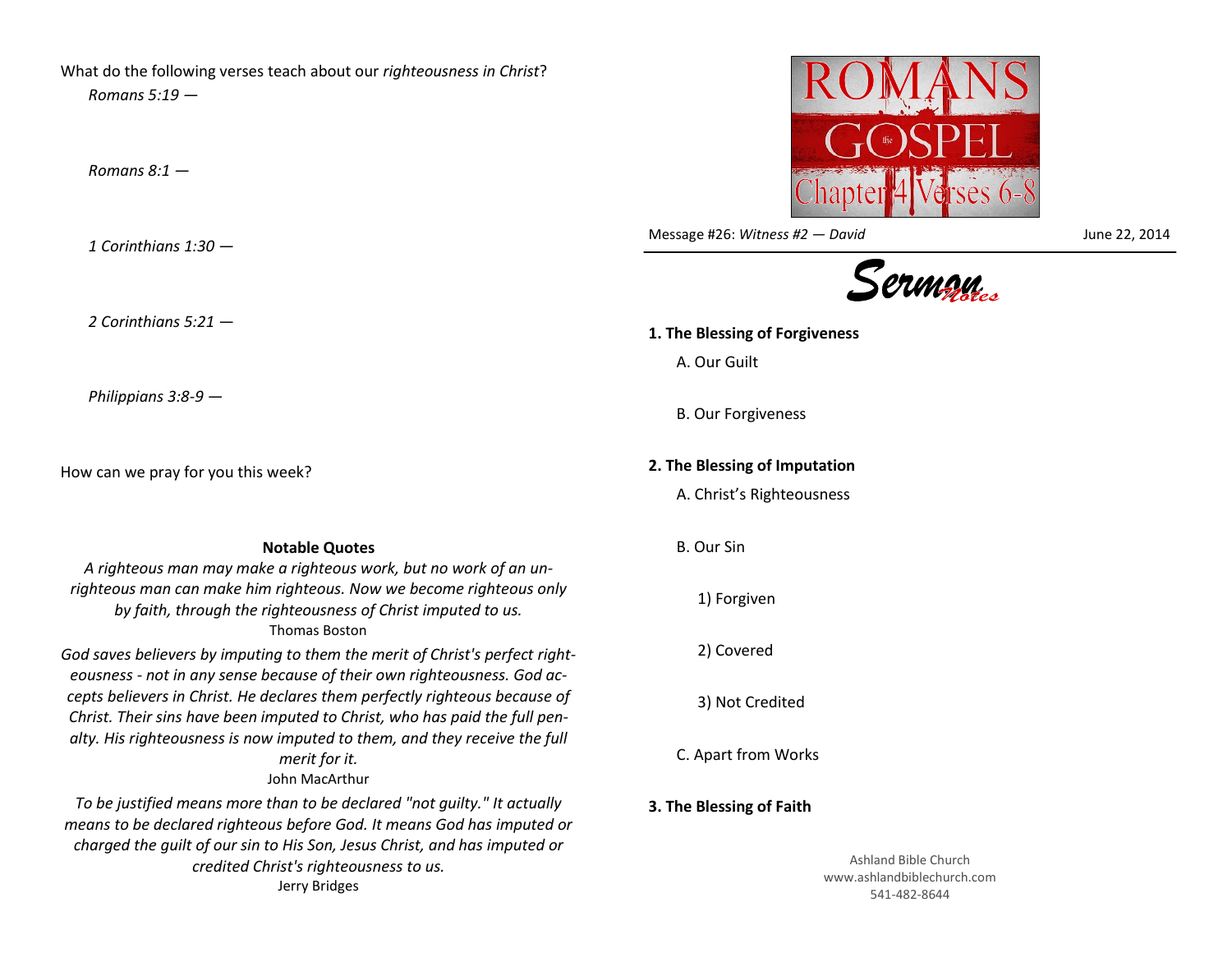What do the following verses teach about our *righteousness in Christ*? *Romans 5:19 —*

*Romans 8:1 —*

*1 Corinthians 1:30 —*

*2 Corinthians 5:21 —*

*Philippians 3:8-9 —*

How can we pray for you this week?

**Notable Quotes** *A righteous man may make a righteous work, but no work of an unrighteous man can make him righteous. Now we become righteous only by faith, through the righteousness of Christ imputed to us.* Thomas Boston

*God saves believers by imputing to them the merit of Christ's perfect righteousness - not in any sense because of their own righteousness. God accepts believers in Christ. He declares them perfectly righteous because of Christ. Their sins have been imputed to Christ, who has paid the full penalty. His righteousness is now imputed to them, and they receive the full merit for it.* John MacArthur

*To be justified means more than to be declared "not guilty." It actually means to be declared righteous before God. It means God has imputed or charged the guilt of our sin to His Son, Jesus Christ, and has imputed or credited Christ's righteousness to us.* Jerry Bridges



Message #26: *Witness #2 — David* June 22, 2014



## **1. The Blessing of Forgiveness** A. Our Guilt B. Our Forgiveness **2. The Blessing of Imputation** A. Christ's Righteousness B. Our Sin 1) Forgiven 2) Covered

3) Not Credited

C. Apart from Works

## **3. The Blessing of Faith**

Ashland Bible Church www.ashlandbiblechurch.com 541-482-8644